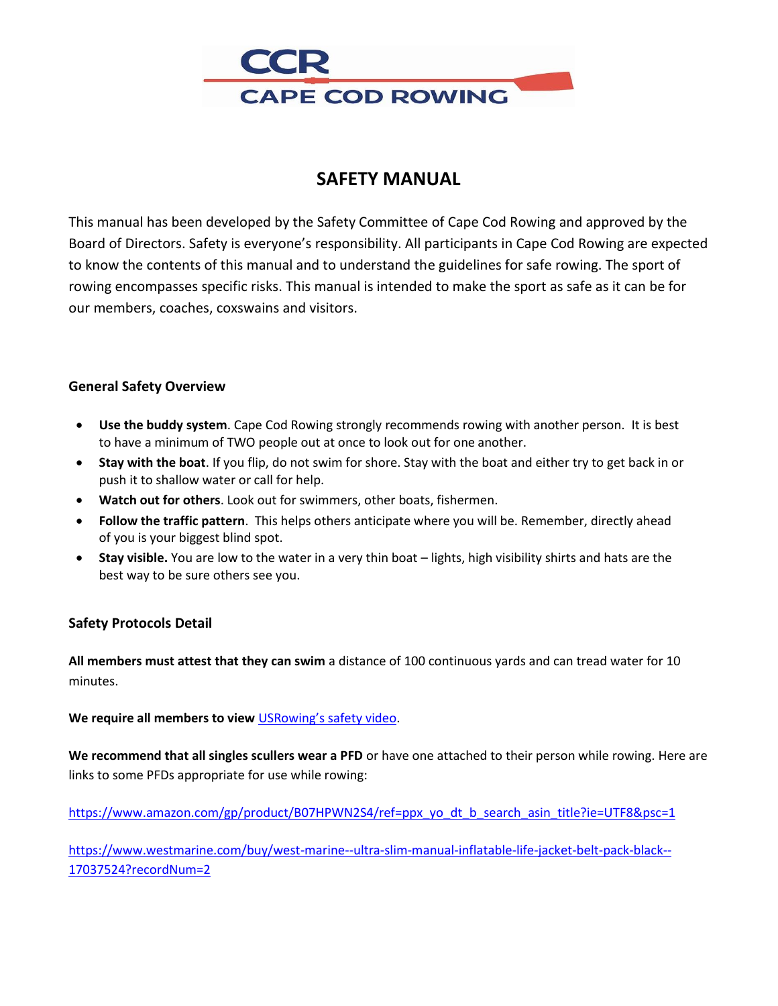

# **SAFETY MANUAL**

This manual has been developed by the Safety Committee of Cape Cod Rowing and approved by the Board of Directors. Safety is everyone's responsibility. All participants in Cape Cod Rowing are expected to know the contents of this manual and to understand the guidelines for safe rowing. The sport of rowing encompasses specific risks. This manual is intended to make the sport as safe as it can be for our members, coaches, coxswains and visitors.

## **General Safety Overview**

- **Use the buddy system**. Cape Cod Rowing strongly recommends rowing with another person. It is best to have a minimum of TWO people out at once to look out for one another.
- **Stay with the boat**. If you flip, do not swim for shore. Stay with the boat and either try to get back in or push it to shallow water or call for help.
- **Watch out for others**. Look out for swimmers, other boats, fishermen.
- **Follow the traffic pattern**. This helps others anticipate where you will be. Remember, directly ahead of you is your biggest blind spot.
- **Stay visible.** You are low to the water in a very thin boat lights, high visibility shirts and hats are the best way to be sure others see you.

## **Safety Protocols Detail**

**All members must attest that they can swim** a distance of 100 continuous yards and can tread water for 10 minutes.

**We require all members to view** USRowing's safety video.

**We recommend that all singles scullers wear a PFD** or have one attached to their person while rowing. Here are links to some PFDs appropriate for use while rowing:

https://www.amazon.com/gp/product/B07HPWN2S4/ref=ppx\_yo\_dt\_b\_search\_asin\_title?ie=UTF8&psc=1

https://www.westmarine.com/buy/west-marine--ultra-slim-manual-inflatable-life-jacket-belt-pack-black-- 17037524?recordNum=2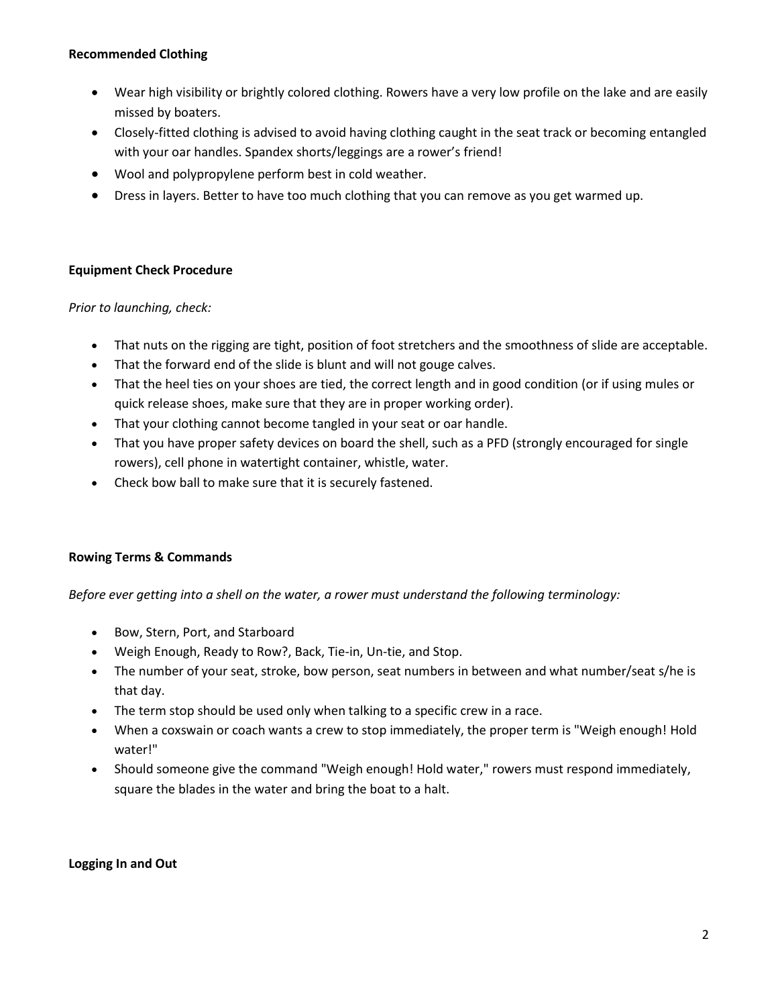#### **Recommended Clothing**

- Wear high visibility or brightly colored clothing. Rowers have a very low profile on the lake and are easily missed by boaters.
- Closely-fitted clothing is advised to avoid having clothing caught in the seat track or becoming entangled with your oar handles. Spandex shorts/leggings are a rower's friend!
- Wool and polypropylene perform best in cold weather.
- Dress in layers. Better to have too much clothing that you can remove as you get warmed up.

#### **Equipment Check Procedure**

#### *Prior to launching, check:*

- That nuts on the rigging are tight, position of foot stretchers and the smoothness of slide are acceptable.
- That the forward end of the slide is blunt and will not gouge calves.
- That the heel ties on your shoes are tied, the correct length and in good condition (or if using mules or quick release shoes, make sure that they are in proper working order).
- That your clothing cannot become tangled in your seat or oar handle.
- That you have proper safety devices on board the shell, such as a PFD (strongly encouraged for single rowers), cell phone in watertight container, whistle, water.
- Check bow ball to make sure that it is securely fastened.

#### **Rowing Terms & Commands**

*Before ever getting into a shell on the water, a rower must understand the following terminology:*

- Bow, Stern, Port, and Starboard
- Weigh Enough, Ready to Row?, Back, Tie-in, Un-tie, and Stop.
- The number of your seat, stroke, bow person, seat numbers in between and what number/seat s/he is that day.
- The term stop should be used only when talking to a specific crew in a race.
- When a coxswain or coach wants a crew to stop immediately, the proper term is "Weigh enough! Hold water!"
- Should someone give the command "Weigh enough! Hold water," rowers must respond immediately, square the blades in the water and bring the boat to a halt.

#### **Logging In and Out**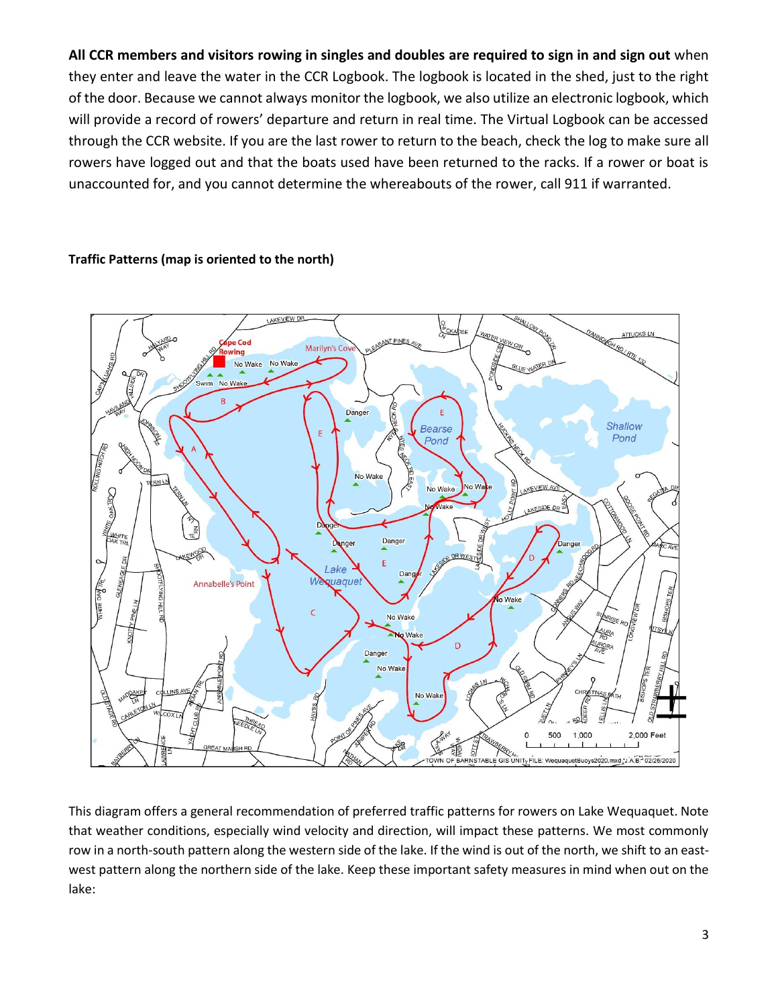**All CCR members and visitors rowing in singles and doubles are required to sign in and sign out** when they enter and leave the water in the CCR Logbook. The logbook is located in the shed, just to the right of the door. Because we cannot always monitor the logbook, we also utilize an electronic logbook, which will provide a record of rowers' departure and return in real time. The Virtual Logbook can be accessed through the CCR website. If you are the last rower to return to the beach, check the log to make sure all rowers have logged out and that the boats used have been returned to the racks. If a rower or boat is unaccounted for, and you cannot determine the whereabouts of the rower, call 911 if warranted.

#### **Traffic Patterns (map is oriented to the north)**



This diagram offers a general recommendation of preferred traffic patterns for rowers on Lake Wequaquet. Note that weather conditions, especially wind velocity and direction, will impact these patterns. We most commonly row in a north-south pattern along the western side of the lake. If the wind is out of the north, we shift to an eastwest pattern along the northern side of the lake. Keep these important safety measures in mind when out on the lake: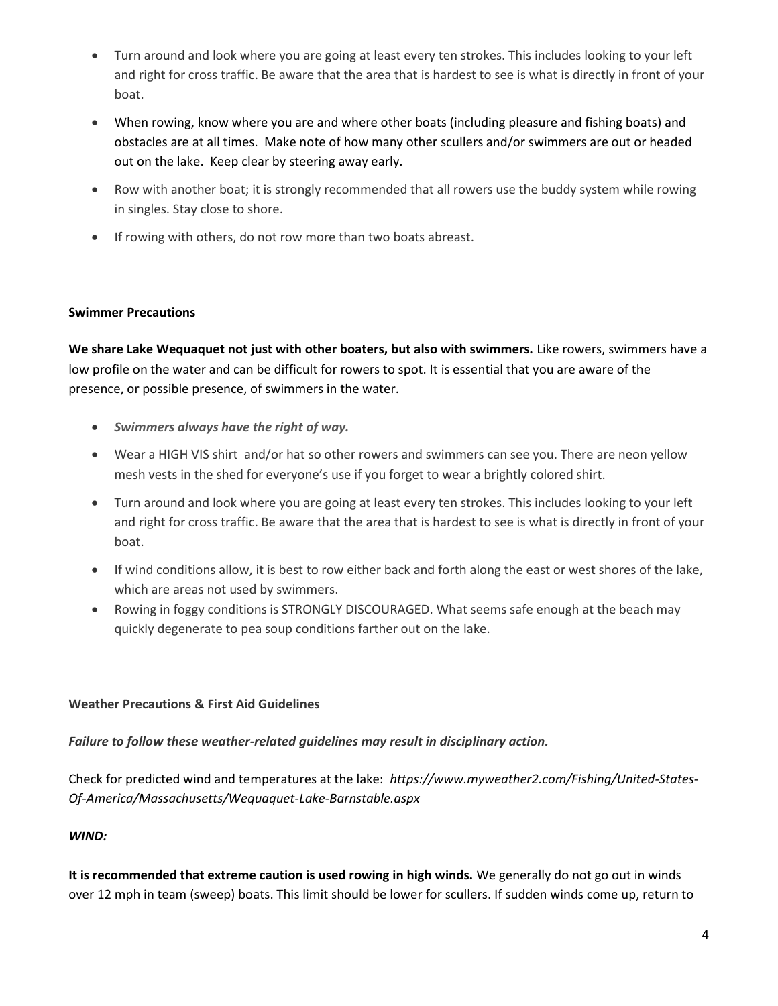- Turn around and look where you are going at least every ten strokes. This includes looking to your left and right for cross traffic. Be aware that the area that is hardest to see is what is directly in front of your boat.
- When rowing, know where you are and where other boats (including pleasure and fishing boats) and obstacles are at all times. Make note of how many other scullers and/or swimmers are out or headed out on the lake. Keep clear by steering away early.
- Row with another boat; it is strongly recommended that all rowers use the buddy system while rowing in singles. Stay close to shore.
- If rowing with others, do not row more than two boats abreast.

#### **Swimmer Precautions**

**We share Lake Wequaquet not just with other boaters, but also with swimmers.** Like rowers, swimmers have a low profile on the water and can be difficult for rowers to spot. It is essential that you are aware of the presence, or possible presence, of swimmers in the water.

- *Swimmers always have the right of way.*
- Wear a HIGH VIS shirt and/or hat so other rowers and swimmers can see you. There are neon yellow mesh vests in the shed for everyone's use if you forget to wear a brightly colored shirt.
- Turn around and look where you are going at least every ten strokes. This includes looking to your left and right for cross traffic. Be aware that the area that is hardest to see is what is directly in front of your boat.
- If wind conditions allow, it is best to row either back and forth along the east or west shores of the lake, which are areas not used by swimmers.
- Rowing in foggy conditions is STRONGLY DISCOURAGED. What seems safe enough at the beach may quickly degenerate to pea soup conditions farther out on the lake.

#### **Weather Precautions & First Aid Guidelines**

## *Failure to follow these weather-related guidelines may result in disciplinary action.*

Check for predicted wind and temperatures at the lake: *https://www.myweather2.com/Fishing/United-States-Of-America/Massachusetts/Wequaquet-Lake-Barnstable.aspx* 

## *WIND:*

**It is recommended that extreme caution is used rowing in high winds.** We generally do not go out in winds over 12 mph in team (sweep) boats. This limit should be lower for scullers. If sudden winds come up, return to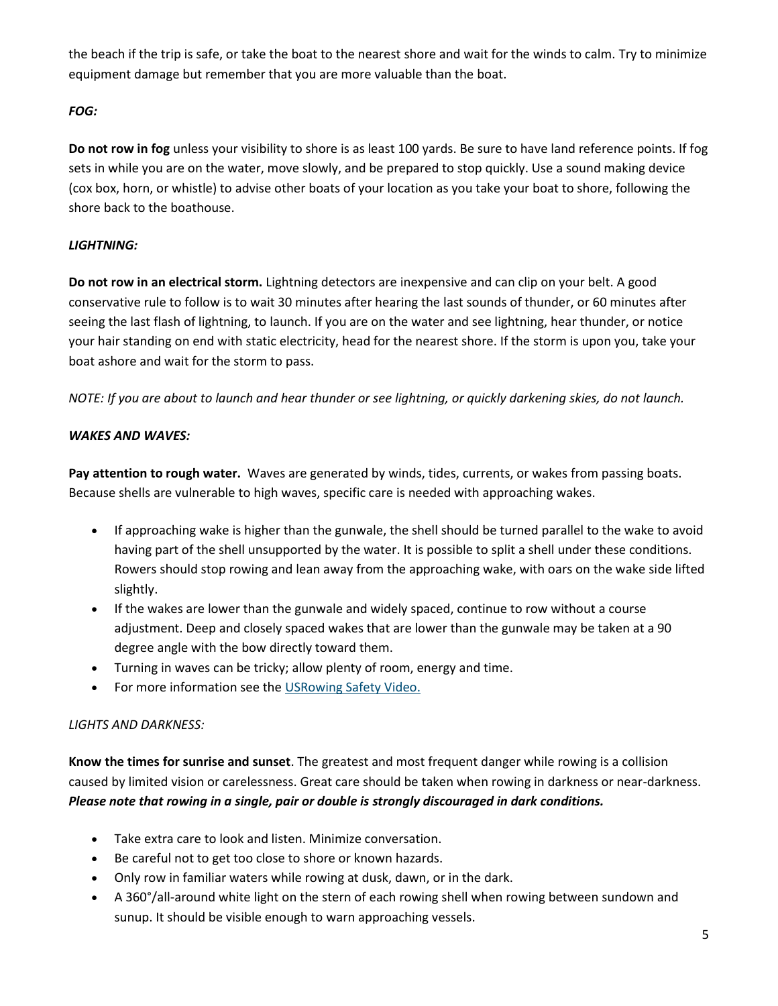the beach if the trip is safe, or take the boat to the nearest shore and wait for the winds to calm. Try to minimize equipment damage but remember that you are more valuable than the boat.

## *FOG:*

**Do not row in fog** unless your visibility to shore is as least 100 yards. Be sure to have land reference points. If fog sets in while you are on the water, move slowly, and be prepared to stop quickly. Use a sound making device (cox box, horn, or whistle) to advise other boats of your location as you take your boat to shore, following the shore back to the boathouse.

## *LIGHTNING:*

**Do not row in an electrical storm.** Lightning detectors are inexpensive and can clip on your belt. A good conservative rule to follow is to wait 30 minutes after hearing the last sounds of thunder, or 60 minutes after seeing the last flash of lightning, to launch. If you are on the water and see lightning, hear thunder, or notice your hair standing on end with static electricity, head for the nearest shore. If the storm is upon you, take your boat ashore and wait for the storm to pass.

*NOTE: If you are about to launch and hear thunder or see lightning, or quickly darkening skies, do not launch.*

## *WAKES AND WAVES:*

**Pay attention to rough water.** Waves are generated by winds, tides, currents, or wakes from passing boats. Because shells are vulnerable to high waves, specific care is needed with approaching wakes.

- If approaching wake is higher than the gunwale, the shell should be turned parallel to the wake to avoid having part of the shell unsupported by the water. It is possible to split a shell under these conditions. Rowers should stop rowing and lean away from the approaching wake, with oars on the wake side lifted slightly.
- If the wakes are lower than the gunwale and widely spaced, continue to row without a course adjustment. Deep and closely spaced wakes that are lower than the gunwale may be taken at a 90 degree angle with the bow directly toward them.
- Turning in waves can be tricky; allow plenty of room, energy and time.
- For more information see the USRowing Safety Video.

## *LIGHTS AND DARKNESS:*

**Know the times for sunrise and sunset**. The greatest and most frequent danger while rowing is a collision caused by limited vision or carelessness. Great care should be taken when rowing in darkness or near-darkness. *Please note that rowing in a single, pair or double is strongly discouraged in dark conditions.*

- Take extra care to look and listen. Minimize conversation.
- Be careful not to get too close to shore or known hazards.
- Only row in familiar waters while rowing at dusk, dawn, or in the dark.
- A 360°/all-around white light on the stern of each rowing shell when rowing between sundown and sunup. It should be visible enough to warn approaching vessels.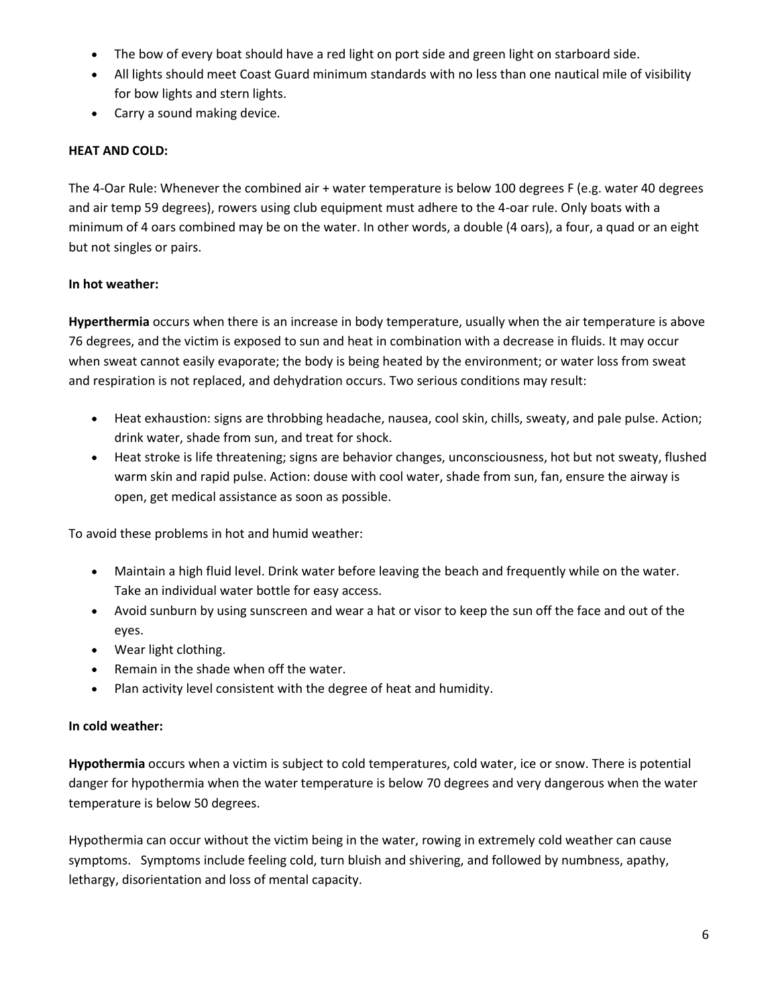- The bow of every boat should have a red light on port side and green light on starboard side.
- All lights should meet Coast Guard minimum standards with no less than one nautical mile of visibility for bow lights and stern lights.
- Carry a sound making device.

## **HEAT AND COLD:**

The 4-Oar Rule: Whenever the combined air + water temperature is below 100 degrees F (e.g. water 40 degrees and air temp 59 degrees), rowers using club equipment must adhere to the 4-oar rule. Only boats with a minimum of 4 oars combined may be on the water. In other words, a double (4 oars), a four, a quad or an eight but not singles or pairs.

## **In hot weather:**

**Hyperthermia** occurs when there is an increase in body temperature, usually when the air temperature is above 76 degrees, and the victim is exposed to sun and heat in combination with a decrease in fluids. It may occur when sweat cannot easily evaporate; the body is being heated by the environment; or water loss from sweat and respiration is not replaced, and dehydration occurs. Two serious conditions may result:

- Heat exhaustion: signs are throbbing headache, nausea, cool skin, chills, sweaty, and pale pulse. Action; drink water, shade from sun, and treat for shock.
- Heat stroke is life threatening; signs are behavior changes, unconsciousness, hot but not sweaty, flushed warm skin and rapid pulse. Action: douse with cool water, shade from sun, fan, ensure the airway is open, get medical assistance as soon as possible.

To avoid these problems in hot and humid weather:

- Maintain a high fluid level. Drink water before leaving the beach and frequently while on the water. Take an individual water bottle for easy access.
- Avoid sunburn by using sunscreen and wear a hat or visor to keep the sun off the face and out of the eyes.
- Wear light clothing.
- Remain in the shade when off the water.
- Plan activity level consistent with the degree of heat and humidity.

## **In cold weather:**

**Hypothermia** occurs when a victim is subject to cold temperatures, cold water, ice or snow. There is potential danger for hypothermia when the water temperature is below 70 degrees and very dangerous when the water temperature is below 50 degrees.

Hypothermia can occur without the victim being in the water, rowing in extremely cold weather can cause symptoms. Symptoms include feeling cold, turn bluish and shivering, and followed by numbness, apathy, lethargy, disorientation and loss of mental capacity.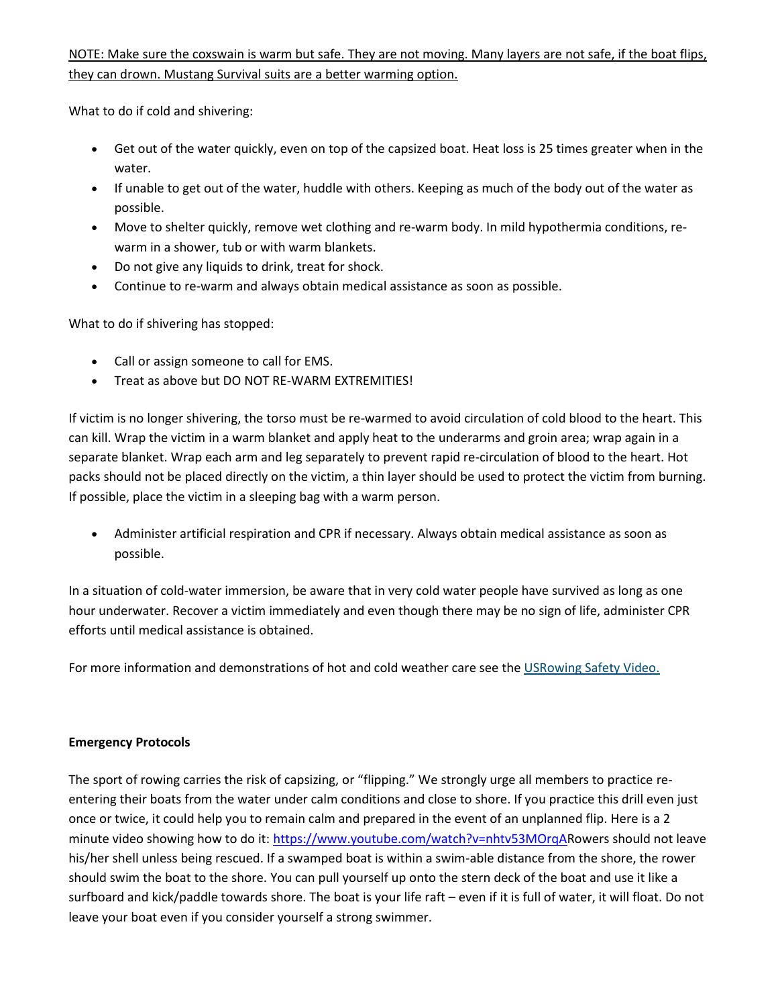## NOTE: Make sure the coxswain is warm but safe. They are not moving. Many layers are not safe, if the boat flips, they can drown. Mustang Survival suits are a better warming option.

What to do if cold and shivering:

- Get out of the water quickly, even on top of the capsized boat. Heat loss is 25 times greater when in the water.
- If unable to get out of the water, huddle with others. Keeping as much of the body out of the water as possible.
- Move to shelter quickly, remove wet clothing and re-warm body. In mild hypothermia conditions, rewarm in a shower, tub or with warm blankets.
- Do not give any liquids to drink, treat for shock.
- Continue to re-warm and always obtain medical assistance as soon as possible.

What to do if shivering has stopped:

- Call or assign someone to call for EMS.
- Treat as above but DO NOT RE-WARM EXTREMITIES!

If victim is no longer shivering, the torso must be re-warmed to avoid circulation of cold blood to the heart. This can kill. Wrap the victim in a warm blanket and apply heat to the underarms and groin area; wrap again in a separate blanket. Wrap each arm and leg separately to prevent rapid re-circulation of blood to the heart. Hot packs should not be placed directly on the victim, a thin layer should be used to protect the victim from burning. If possible, place the victim in a sleeping bag with a warm person.

• Administer artificial respiration and CPR if necessary. Always obtain medical assistance as soon as possible.

In a situation of cold-water immersion, be aware that in very cold water people have survived as long as one hour underwater. Recover a victim immediately and even though there may be no sign of life, administer CPR efforts until medical assistance is obtained.

For more information and demonstrations of hot and cold weather care see the USRowing Safety Video.

#### **Emergency Protocols**

The sport of rowing carries the risk of capsizing, or "flipping." We strongly urge all members to practice reentering their boats from the water under calm conditions and close to shore. If you practice this drill even just once or twice, it could help you to remain calm and prepared in the event of an unplanned flip. Here is a 2 minute video showing how to do it: https://www.youtube.com/watch?v=nhtv53MOrgARowers should not leave his/her shell unless being rescued. If a swamped boat is within a swim-able distance from the shore, the rower should swim the boat to the shore. You can pull yourself up onto the stern deck of the boat and use it like a surfboard and kick/paddle towards shore. The boat is your life raft – even if it is full of water, it will float. Do not leave your boat even if you consider yourself a strong swimmer.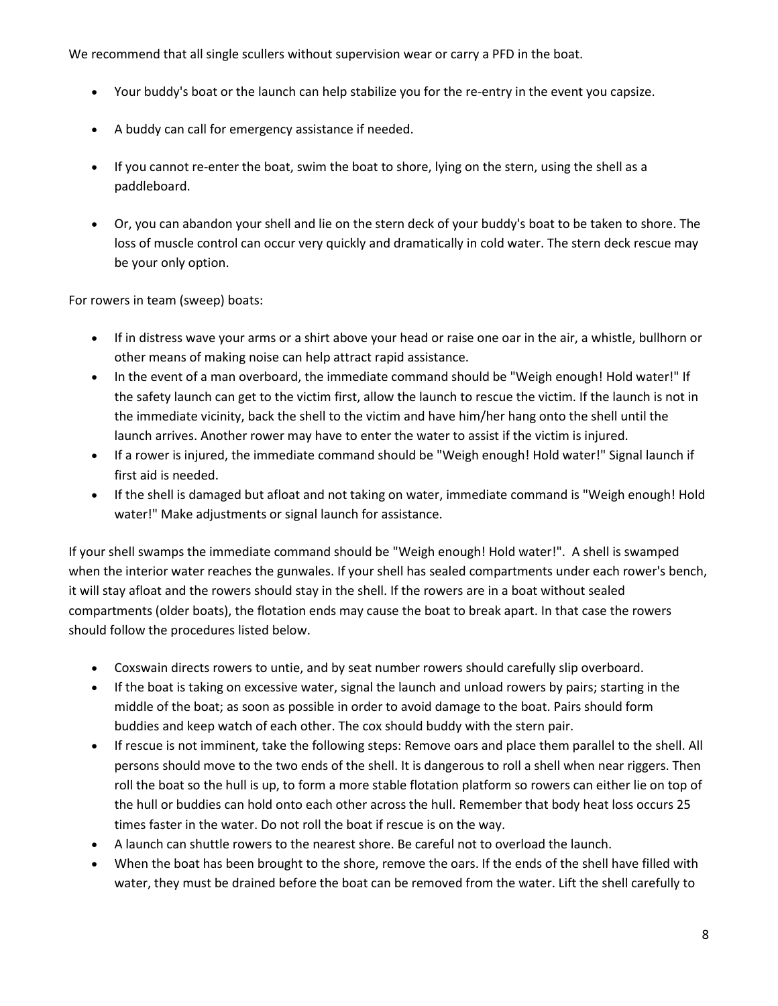We recommend that all single scullers without supervision wear or carry a PFD in the boat.

- Your buddy's boat or the launch can help stabilize you for the re-entry in the event you capsize.
- A buddy can call for emergency assistance if needed.
- If you cannot re-enter the boat, swim the boat to shore, lying on the stern, using the shell as a paddleboard.
- Or, you can abandon your shell and lie on the stern deck of your buddy's boat to be taken to shore. The loss of muscle control can occur very quickly and dramatically in cold water. The stern deck rescue may be your only option.

For rowers in team (sweep) boats:

- If in distress wave your arms or a shirt above your head or raise one oar in the air, a whistle, bullhorn or other means of making noise can help attract rapid assistance.
- In the event of a man overboard, the immediate command should be "Weigh enough! Hold water!" If the safety launch can get to the victim first, allow the launch to rescue the victim. If the launch is not in the immediate vicinity, back the shell to the victim and have him/her hang onto the shell until the launch arrives. Another rower may have to enter the water to assist if the victim is injured.
- If a rower is injured, the immediate command should be "Weigh enough! Hold water!" Signal launch if first aid is needed.
- If the shell is damaged but afloat and not taking on water, immediate command is "Weigh enough! Hold water!" Make adjustments or signal launch for assistance.

If your shell swamps the immediate command should be "Weigh enough! Hold water!". A shell is swamped when the interior water reaches the gunwales. If your shell has sealed compartments under each rower's bench, it will stay afloat and the rowers should stay in the shell. If the rowers are in a boat without sealed compartments (older boats), the flotation ends may cause the boat to break apart. In that case the rowers should follow the procedures listed below.

- Coxswain directs rowers to untie, and by seat number rowers should carefully slip overboard.
- If the boat is taking on excessive water, signal the launch and unload rowers by pairs; starting in the middle of the boat; as soon as possible in order to avoid damage to the boat. Pairs should form buddies and keep watch of each other. The cox should buddy with the stern pair.
- If rescue is not imminent, take the following steps: Remove oars and place them parallel to the shell. All persons should move to the two ends of the shell. It is dangerous to roll a shell when near riggers. Then roll the boat so the hull is up, to form a more stable flotation platform so rowers can either lie on top of the hull or buddies can hold onto each other across the hull. Remember that body heat loss occurs 25 times faster in the water. Do not roll the boat if rescue is on the way.
- A launch can shuttle rowers to the nearest shore. Be careful not to overload the launch.
- When the boat has been brought to the shore, remove the oars. If the ends of the shell have filled with water, they must be drained before the boat can be removed from the water. Lift the shell carefully to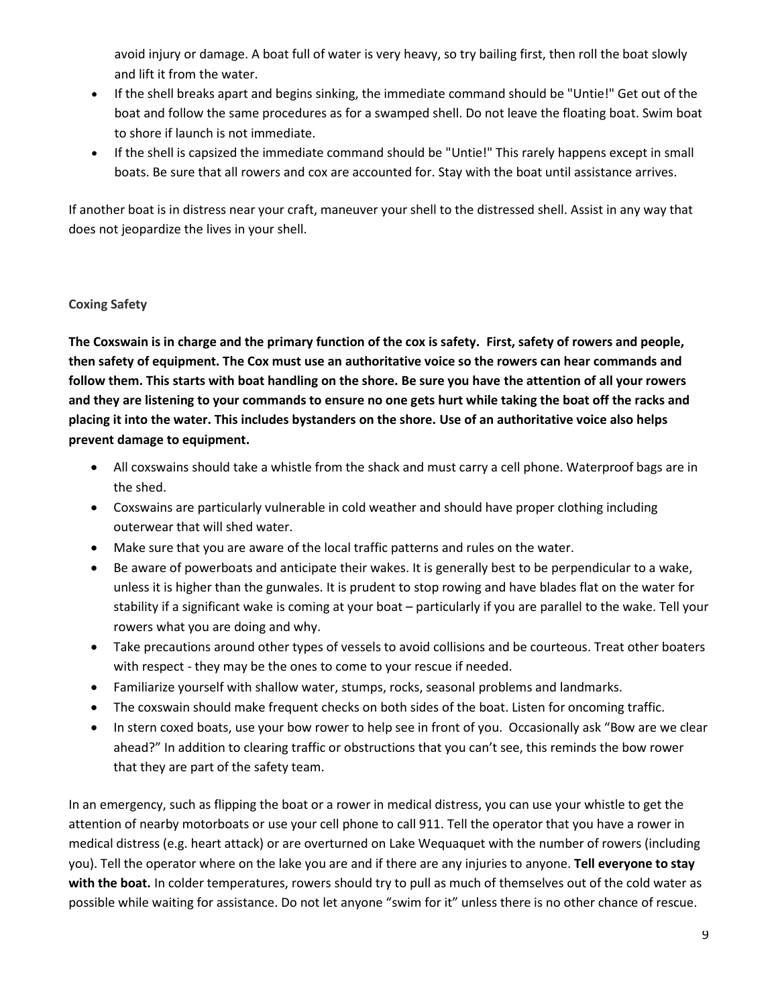avoid injury or damage. A boat full of water is very heavy, so try bailing first, then roll the boat slowly and lift it from the water.

- If the shell breaks apart and begins sinking, the immediate command should be "Untie!" Get out of the boat and follow the same procedures as for a swamped shell. Do not leave the floating boat. Swim boat to shore if launch is not immediate.
- If the shell is capsized the immediate command should be "Untie!" This rarely happens except in small boats. Be sure that all rowers and cox are accounted for. Stay with the boat until assistance arrives.

If another boat is in distress near your craft, maneuver your shell to the distressed shell. Assist in any way that does not jeopardize the lives in your shell.

## **Coxing Safety**

**The Coxswain is in charge and the primary function of the cox is safety. First, safety of rowers and people, then safety of equipment. The Cox must use an authoritative voice so the rowers can hear commands and follow them. This starts with boat handling on the shore. Be sure you have the attention of all your rowers and they are listening to your commands to ensure no one gets hurt while taking the boat off the racks and placing it into the water. This includes bystanders on the shore. Use of an authoritative voice also helps prevent damage to equipment.**

- All coxswains should take a whistle from the shack and must carry a cell phone. Waterproof bags are in the shed.
- Coxswains are particularly vulnerable in cold weather and should have proper clothing including outerwear that will shed water.
- Make sure that you are aware of the local traffic patterns and rules on the water.
- Be aware of powerboats and anticipate their wakes. It is generally best to be perpendicular to a wake, unless it is higher than the gunwales. It is prudent to stop rowing and have blades flat on the water for stability if a significant wake is coming at your boat – particularly if you are parallel to the wake. Tell your rowers what you are doing and why.
- Take precautions around other types of vessels to avoid collisions and be courteous. Treat other boaters with respect - they may be the ones to come to your rescue if needed.
- Familiarize yourself with shallow water, stumps, rocks, seasonal problems and landmarks.
- The coxswain should make frequent checks on both sides of the boat. Listen for oncoming traffic.
- In stern coxed boats, use your bow rower to help see in front of you. Occasionally ask "Bow are we clear ahead?" In addition to clearing traffic or obstructions that you can't see, this reminds the bow rower that they are part of the safety team.

In an emergency, such as flipping the boat or a rower in medical distress, you can use your whistle to get the attention of nearby motorboats or use your cell phone to call 911. Tell the operator that you have a rower in medical distress (e.g. heart attack) or are overturned on Lake Wequaquet with the number of rowers (including you). Tell the operator where on the lake you are and if there are any injuries to anyone. **Tell everyone to stay with the boat.** In colder temperatures, rowers should try to pull as much of themselves out of the cold water as possible while waiting for assistance. Do not let anyone "swim for it" unless there is no other chance of rescue.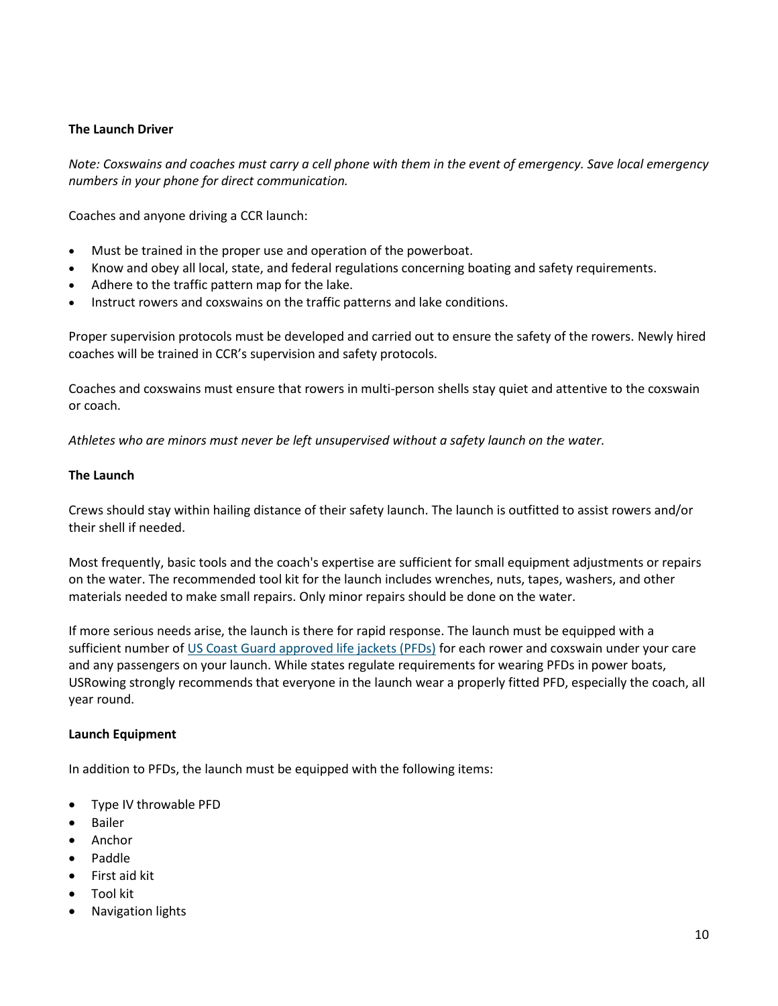#### **The Launch Driver**

*Note: Coxswains and coaches must carry a cell phone with them in the event of emergency. Save local emergency numbers in your phone for direct communication.*

Coaches and anyone driving a CCR launch:

- Must be trained in the proper use and operation of the powerboat.
- Know and obey all local, state, and federal regulations concerning boating and safety requirements.
- Adhere to the traffic pattern map for the lake.
- Instruct rowers and coxswains on the traffic patterns and lake conditions.

Proper supervision protocols must be developed and carried out to ensure the safety of the rowers. Newly hired coaches will be trained in CCR's supervision and safety protocols.

Coaches and coxswains must ensure that rowers in multi-person shells stay quiet and attentive to the coxswain or coach.

*Athletes who are minors must never be left unsupervised without a safety launch on the water.*

#### **The Launch**

Crews should stay within hailing distance of their safety launch. The launch is outfitted to assist rowers and/or their shell if needed.

Most frequently, basic tools and the coach's expertise are sufficient for small equipment adjustments or repairs on the water. The recommended tool kit for the launch includes wrenches, nuts, tapes, washers, and other materials needed to make small repairs. Only minor repairs should be done on the water.

If more serious needs arise, the launch is there for rapid response. The launch must be equipped with a sufficient number of US Coast Guard approved life jackets (PFDs) for each rower and coxswain under your care and any passengers on your launch. While states regulate requirements for wearing PFDs in power boats, USRowing strongly recommends that everyone in the launch wear a properly fitted PFD, especially the coach, all year round.

#### **Launch Equipment**

In addition to PFDs, the launch must be equipped with the following items:

- Type IV throwable PFD
- Bailer
- Anchor
- Paddle
- First aid kit
- Tool kit
- Navigation lights